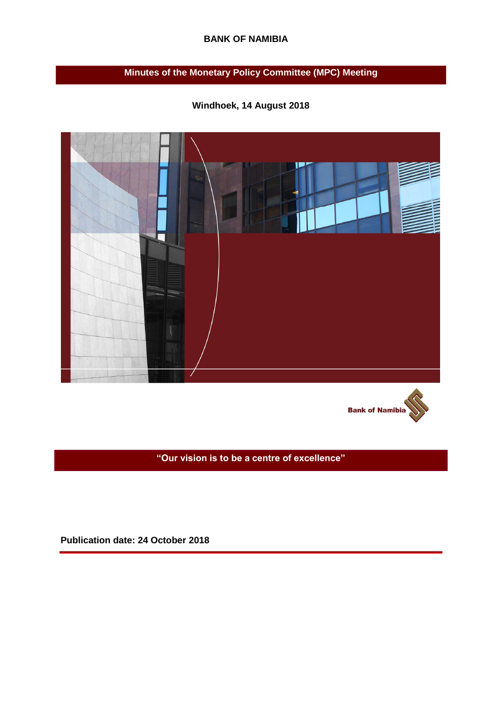### **BANK OF NAMIBIA**

# **Minutes of the Monetary Policy Committee (MPC) Meeting**

**Windhoek, 14 August 2018** 





**"Our vision is to be a centre of excellence"**

**Publication date: 24 October 2018**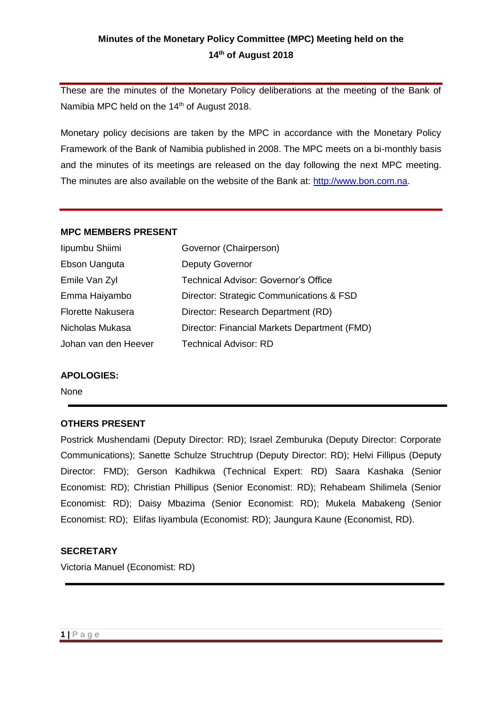# **Minutes of the Monetary Policy Committee (MPC) Meeting held on the 14th of August 2018**

These are the minutes of the Monetary Policy deliberations at the meeting of the Bank of Namibia MPC held on the 14<sup>th</sup> of August 2018.

Monetary policy decisions are taken by the MPC in accordance with the Monetary Policy Framework of the Bank of Namibia published in 2008. The MPC meets on a bi-monthly basis and the minutes of its meetings are released on the day following the next MPC meeting. The minutes are also available on the website of the Bank at: [http://www.bon.com.na.](http://www.bon.com.na/)

#### **MPC MEMBERS PRESENT**

| lipumbu Shiimi           | Governor (Chairperson)                       |
|--------------------------|----------------------------------------------|
| Ebson Uanguta            | <b>Deputy Governor</b>                       |
| Emile Van Zyl            | <b>Technical Advisor: Governor's Office</b>  |
| Emma Haiyambo            | Director: Strategic Communications & FSD     |
| <b>Florette Nakusera</b> | Director: Research Department (RD)           |
| Nicholas Mukasa          | Director: Financial Markets Department (FMD) |
| Johan van den Heever     | <b>Technical Advisor: RD</b>                 |

#### **APOLOGIES:**

None

#### **OTHERS PRESENT**

Postrick Mushendami (Deputy Director: RD); Israel Zemburuka (Deputy Director: Corporate Communications); Sanette Schulze Struchtrup (Deputy Director: RD); Helvi Fillipus (Deputy Director: FMD); Gerson Kadhikwa (Technical Expert: RD) Saara Kashaka (Senior Economist: RD); Christian Phillipus (Senior Economist: RD); Rehabeam Shilimela (Senior Economist: RD); Daisy Mbazima (Senior Economist: RD); Mukela Mabakeng (Senior Economist: RD); Elifas Iiyambula (Economist: RD); Jaungura Kaune (Economist, RD).

#### **SECRETARY**

Victoria Manuel (Economist: RD)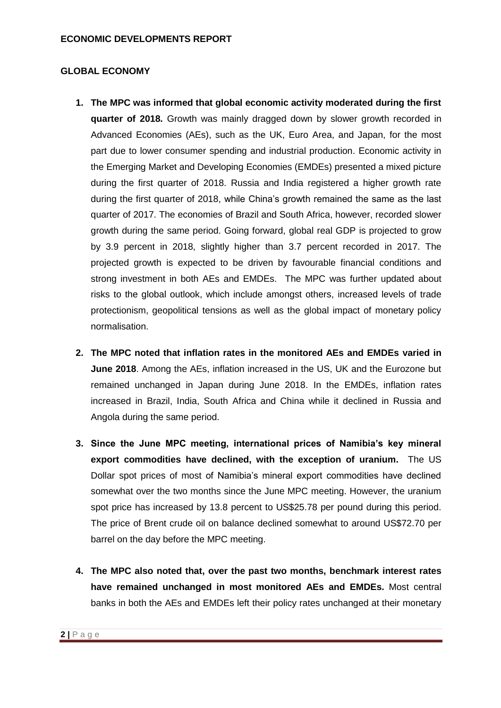## **GLOBAL ECONOMY**

- **1. The MPC was informed that global economic activity moderated during the first quarter of 2018.** Growth was mainly dragged down by slower growth recorded in Advanced Economies (AEs), such as the UK, Euro Area, and Japan, for the most part due to lower consumer spending and industrial production. Economic activity in the Emerging Market and Developing Economies (EMDEs) presented a mixed picture during the first quarter of 2018. Russia and India registered a higher growth rate during the first quarter of 2018, while China's growth remained the same as the last quarter of 2017. The economies of Brazil and South Africa, however, recorded slower growth during the same period. Going forward, global real GDP is projected to grow by 3.9 percent in 2018, slightly higher than 3.7 percent recorded in 2017. The projected growth is expected to be driven by favourable financial conditions and strong investment in both AEs and EMDEs. The MPC was further updated about risks to the global outlook, which include amongst others, increased levels of trade protectionism, geopolitical tensions as well as the global impact of monetary policy normalisation.
- **2. The MPC noted that inflation rates in the monitored AEs and EMDEs varied in June 2018**. Among the AEs, inflation increased in the US, UK and the Eurozone but remained unchanged in Japan during June 2018. In the EMDEs, inflation rates increased in Brazil, India, South Africa and China while it declined in Russia and Angola during the same period.
- **3. Since the June MPC meeting, international prices of Namibia's key mineral export commodities have declined, with the exception of uranium.** The US Dollar spot prices of most of Namibia's mineral export commodities have declined somewhat over the two months since the June MPC meeting. However, the uranium spot price has increased by 13.8 percent to US\$25.78 per pound during this period. The price of Brent crude oil on balance declined somewhat to around US\$72.70 per barrel on the day before the MPC meeting.
- **4. The MPC also noted that, over the past two months, benchmark interest rates have remained unchanged in most monitored AEs and EMDEs.** Most central banks in both the AEs and EMDEs left their policy rates unchanged at their monetary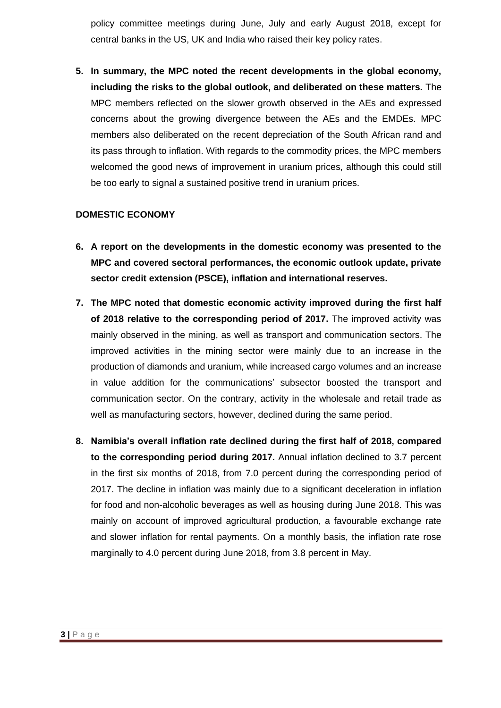policy committee meetings during June, July and early August 2018, except for central banks in the US, UK and India who raised their key policy rates.

**5. In summary, the MPC noted the recent developments in the global economy, including the risks to the global outlook, and deliberated on these matters.** The MPC members reflected on the slower growth observed in the AEs and expressed concerns about the growing divergence between the AEs and the EMDEs. MPC members also deliberated on the recent depreciation of the South African rand and its pass through to inflation. With regards to the commodity prices, the MPC members welcomed the good news of improvement in uranium prices, although this could still be too early to signal a sustained positive trend in uranium prices.

## **DOMESTIC ECONOMY**

- **6. A report on the developments in the domestic economy was presented to the MPC and covered sectoral performances, the economic outlook update, private sector credit extension (PSCE), inflation and international reserves.**
- **7. The MPC noted that domestic economic activity improved during the first half of 2018 relative to the corresponding period of 2017.** The improved activity was mainly observed in the mining, as well as transport and communication sectors. The improved activities in the mining sector were mainly due to an increase in the production of diamonds and uranium, while increased cargo volumes and an increase in value addition for the communications' subsector boosted the transport and communication sector. On the contrary, activity in the wholesale and retail trade as well as manufacturing sectors, however, declined during the same period.
- **8. Namibia's overall inflation rate declined during the first half of 2018, compared to the corresponding period during 2017.** Annual inflation declined to 3.7 percent in the first six months of 2018, from 7.0 percent during the corresponding period of 2017. The decline in inflation was mainly due to a significant deceleration in inflation for food and non-alcoholic beverages as well as housing during June 2018. This was mainly on account of improved agricultural production, a favourable exchange rate and slower inflation for rental payments. On a monthly basis, the inflation rate rose marginally to 4.0 percent during June 2018, from 3.8 percent in May.